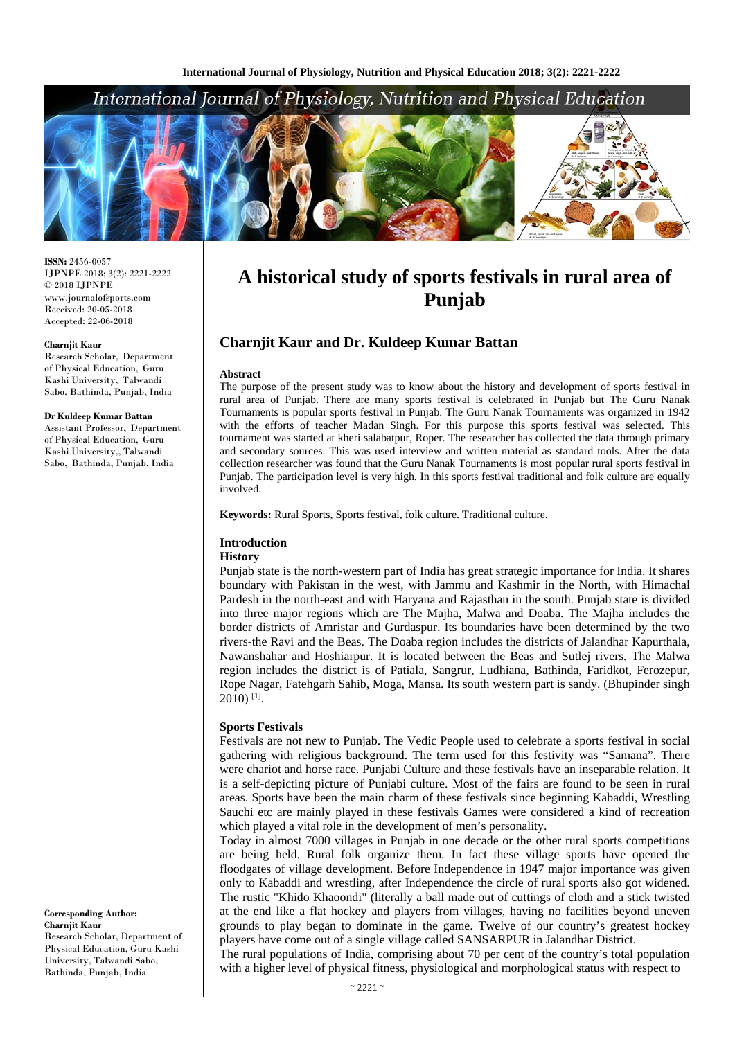# International Journal of Physiology, Nutrition and Physical Education



**ISSN:** 2456-0057 IJPNPE 2018; 3(2): 2221-2222  $\odot$  2018 IJPNPE www.journalofsports.com Received: 20-05-2018 Accepted: 22-06-2018

#### **Charnjit Kaur**

Research Scholar, Department of Physical Education, Guru Kashi University, Talwandi Sabo, Bathinda, Punjab, India

#### **Dr Kuldeep Kumar Battan**

Assistant Professor, Department of Physical Education, Guru Kashi University,, Talwandi Sabo, Bathinda, Punjab, India

#### **Corresponding Author: Charnjit Kaur** Research Scholar, Department of Physical Education, Guru Kashi University, Talwandi Sabo, Bathinda, Punjab, India

# **A historical study of sports festivals in rural area of Punjab**

# **Charnjit Kaur and Dr. Kuldeep Kumar Battan**

### **Abstract**

The purpose of the present study was to know about the history and development of sports festival in rural area of Punjab. There are many sports festival is celebrated in Punjab but The Guru Nanak Tournaments is popular sports festival in Punjab. The Guru Nanak Tournaments was organized in 1942 with the efforts of teacher Madan Singh. For this purpose this sports festival was selected. This tournament was started at kheri salabatpur, Roper. The researcher has collected the data through primary and secondary sources. This was used interview and written material as standard tools. After the data collection researcher was found that the Guru Nanak Tournaments is most popular rural sports festival in Punjab. The participation level is very high. In this sports festival traditional and folk culture are equally involved.

**Keywords:** Rural Sports, Sports festival, folk culture. Traditional culture.

# **Introduction**

## **History**

Punjab state is the north-western part of India has great strategic importance for India. It shares boundary with Pakistan in the west, with Jammu and Kashmir in the North, with Himachal Pardesh in the north-east and with Haryana and Rajasthan in the south. Punjab state is divided into three major regions which are The Majha, Malwa and Doaba. The Majha includes the border districts of Amristar and Gurdaspur. Its boundaries have been determined by the two rivers-the Ravi and the Beas. The Doaba region includes the districts of Jalandhar Kapurthala, Nawanshahar and Hoshiarpur. It is located between the Beas and Sutlej rivers. The Malwa region includes the district is of Patiala, Sangrur, Ludhiana, Bathinda, Faridkot, Ferozepur, Rope Nagar, Fatehgarh Sahib, Moga, Mansa. Its south western part is sandy. (Bhupinder singh  $2010$ ) <sup>[1]</sup>.

## **Sports Festivals**

Festivals are not new to Punjab. The Vedic People used to celebrate a sports festival in social gathering with religious background. The term used for this festivity was "Samana". There were chariot and horse race. Punjabi Culture and these festivals have an inseparable relation. It is a self-depicting picture of Punjabi culture. Most of the fairs are found to be seen in rural areas. Sports have been the main charm of these festivals since beginning Kabaddi, Wrestling Sauchi etc are mainly played in these festivals Games were considered a kind of recreation which played a vital role in the development of men's personality.

Today in almost 7000 villages in Punjab in one decade or the other rural sports competitions are being held. Rural folk organize them. In fact these village sports have opened the floodgates of village development. Before Independence in 1947 major importance was given only to Kabaddi and wrestling, after Independence the circle of rural sports also got widened. The rustic "Khido Khaoondi" (literally a ball made out of cuttings of cloth and a stick twisted at the end like a flat hockey and players from villages, having no facilities beyond uneven grounds to play began to dominate in the game. Twelve of our country's greatest hockey players have come out of a single village called SANSARPUR in Jalandhar District.

The rural populations of India, comprising about 70 per cent of the country's total population with a higher level of physical fitness, physiological and morphological status with respect to